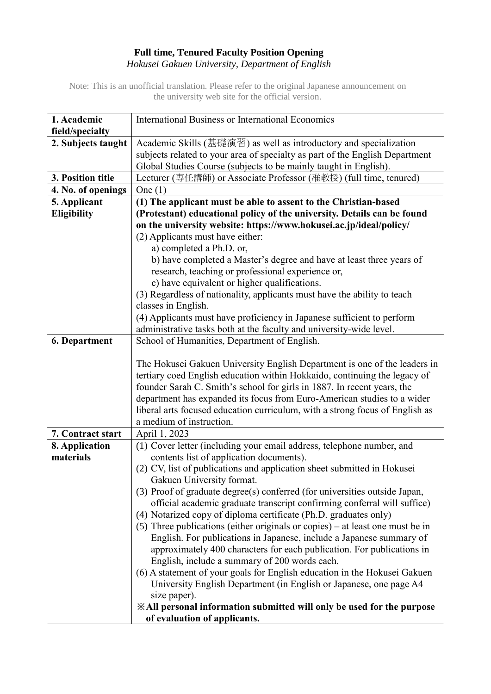## **Full time, Tenured Faculty Position Opening** *Hokusei Gakuen University, Department of English*

Note: This is an unofficial translation. Please refer to the original Japanese announcement on the university web site for the official version.

| 1. Academic                 | <b>International Business or International Economics</b>                                                                     |
|-----------------------------|------------------------------------------------------------------------------------------------------------------------------|
| field/specialty             |                                                                                                                              |
| 2. Subjects taught          | Academic Skills (基礎演習) as well as introductory and specialization                                                            |
|                             | subjects related to your area of specialty as part of the English Department                                                 |
|                             | Global Studies Course (subjects to be mainly taught in English).                                                             |
| 3. Position title           | Lecturer (専任講師) or Associate Professor (准教授) (full time, tenured)                                                            |
| 4. No. of openings          | One $(1)$                                                                                                                    |
| 5. Applicant                | (1) The applicant must be able to assent to the Christian-based                                                              |
| <b>Eligibility</b>          | (Protestant) educational policy of the university. Details can be found                                                      |
|                             | on the university website: https://www.hokusei.ac.jp/ideal/policy/                                                           |
|                             | (2) Applicants must have either:                                                                                             |
|                             | a) completed a Ph.D. or,                                                                                                     |
|                             | b) have completed a Master's degree and have at least three years of                                                         |
|                             | research, teaching or professional experience or,                                                                            |
|                             | c) have equivalent or higher qualifications.                                                                                 |
|                             | (3) Regardless of nationality, applicants must have the ability to teach                                                     |
|                             | classes in English.                                                                                                          |
|                             | (4) Applicants must have proficiency in Japanese sufficient to perform                                                       |
|                             | administrative tasks both at the faculty and university-wide level.                                                          |
| <b>6. Department</b>        | School of Humanities, Department of English.                                                                                 |
|                             |                                                                                                                              |
|                             | The Hokusei Gakuen University English Department is one of the leaders in                                                    |
|                             | tertiary coed English education within Hokkaido, continuing the legacy of                                                    |
|                             | founder Sarah C. Smith's school for girls in 1887. In recent years, the                                                      |
|                             | department has expanded its focus from Euro-American studies to a wider                                                      |
|                             | liberal arts focused education curriculum, with a strong focus of English as<br>a medium of instruction.                     |
| 7. Contract start           |                                                                                                                              |
|                             | April 1, 2023                                                                                                                |
| 8. Application<br>materials | (1) Cover letter (including your email address, telephone number, and<br>contents list of application documents).            |
|                             | (2) CV, list of publications and application sheet submitted in Hokusei                                                      |
|                             | Gakuen University format.                                                                                                    |
|                             | (3) Proof of graduate degree(s) conferred (for universities outside Japan,                                                   |
|                             | official academic graduate transcript confirming conferral will suffice)                                                     |
|                             | (4) Notarized copy of diploma certificate (Ph.D. graduates only)                                                             |
|                             | (5) Three publications (either originals or copies) – at least one must be in                                                |
|                             | English. For publications in Japanese, include a Japanese summary of                                                         |
|                             | approximately 400 characters for each publication. For publications in                                                       |
|                             | English, include a summary of 200 words each.                                                                                |
|                             | (6) A statement of your goals for English education in the Hokusei Gakuen                                                    |
|                             | University English Department (in English or Japanese, one page A4                                                           |
|                             | size paper).                                                                                                                 |
|                             | <b>Example 13 Solution Suppress Setupe 20 Solution</b> SAII personal information submitted will only be used for the purpose |
|                             | of evaluation of applicants.                                                                                                 |